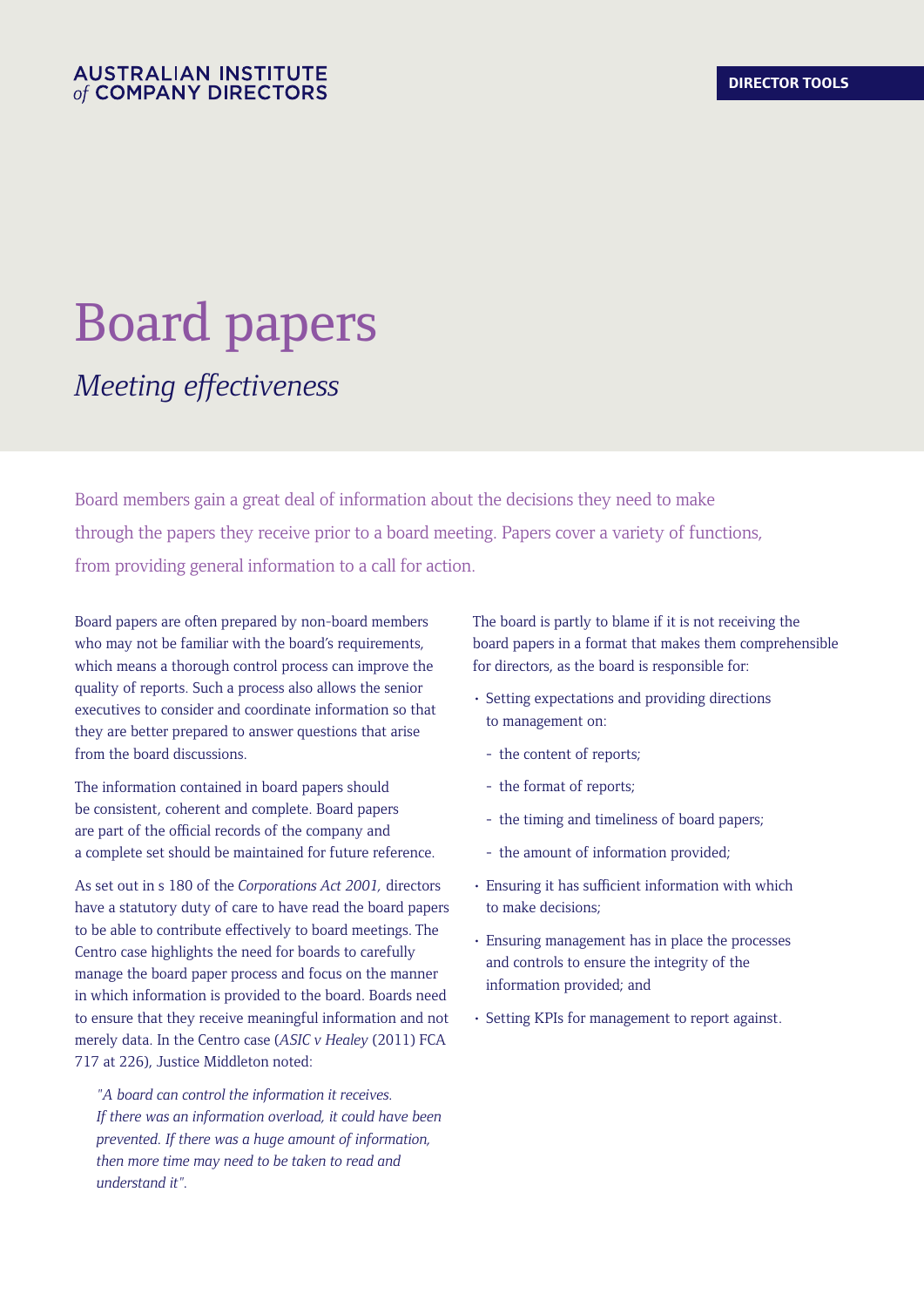# Board papers *Meeting effectiveness*

Board members gain a great deal of information about the decisions they need to make through the papers they receive prior to a board meeting. Papers cover a variety of functions, from providing general information to a call for action.

Board papers are often prepared by non-board members who may not be familiar with the board's requirements, which means a thorough control process can improve the quality of reports. Such a process also allows the senior executives to consider and coordinate information so that they are better prepared to answer questions that arise from the board discussions.

The information contained in board papers should be consistent, coherent and complete. Board papers are part of the official records of the company and a complete set should be maintained for future reference.

As set out in s 180 of the *Corporations Act 2001,* directors have a statutory duty of care to have read the board papers to be able to contribute effectively to board meetings. The Centro case highlights the need for boards to carefully manage the board paper process and focus on the manner in which information is provided to the board. Boards need to ensure that they receive meaningful information and not merely data. In the Centro case (*ASIC v Healey* (2011) FCA 717 at 226), Justice Middleton noted:

*"A board can control the information it receives. If there was an information overload, it could have been prevented. If there was a huge amount of information, then more time may need to be taken to read and understand it".*

The board is partly to blame if it is not receiving the board papers in a format that makes them comprehensible for directors, as the board is responsible for:

- Setting expectations and providing directions to management on:
	- the content of reports;
	- the format of reports;
	- the timing and timeliness of board papers;
	- the amount of information provided;
- Ensuring it has sufficient information with which to make decisions;
- Ensuring management has in place the processes and controls to ensure the integrity of the information provided; and
- Setting KPIs for management to report against.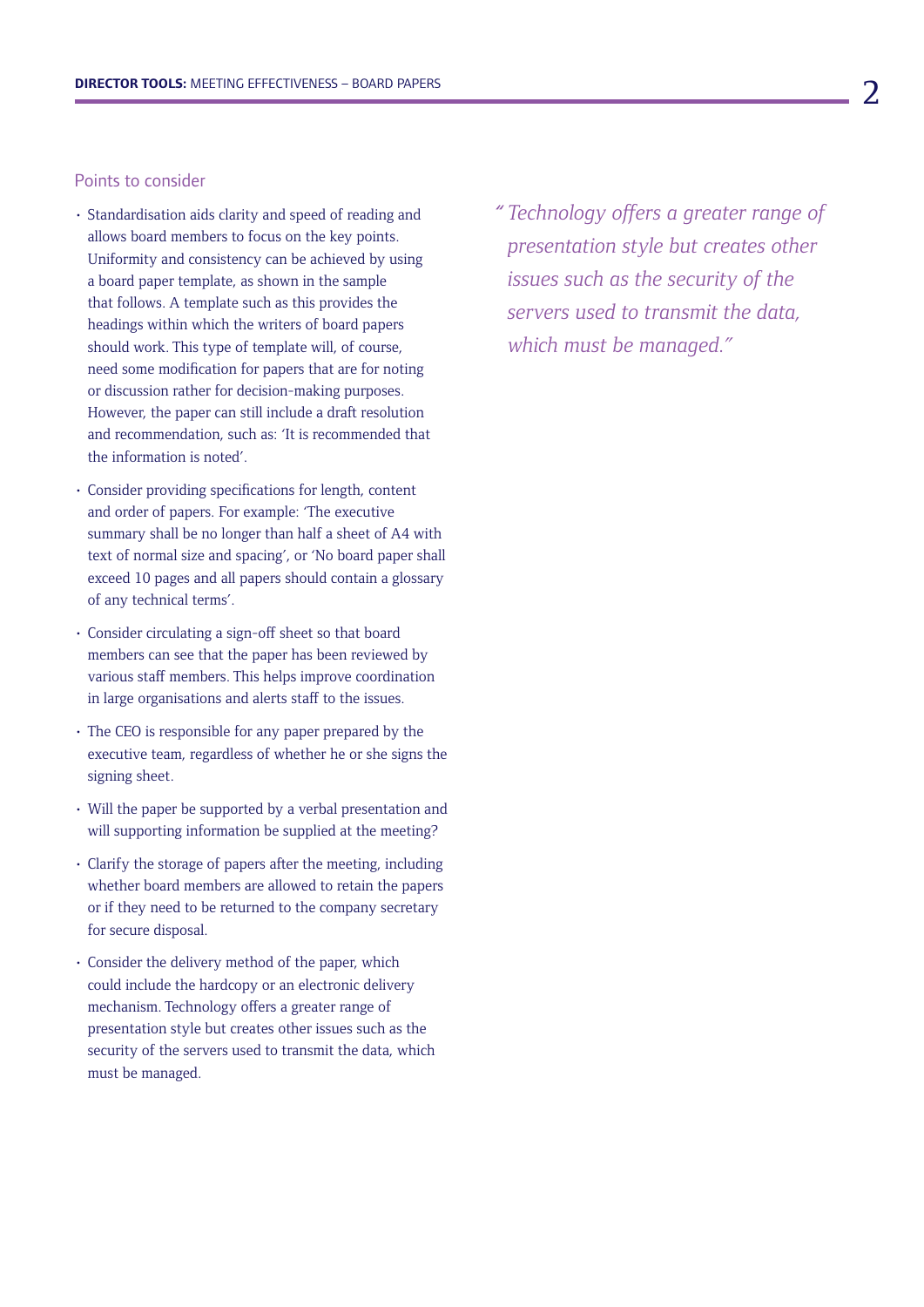# Points to consider

- Standardisation aids clarity and speed of reading and allows board members to focus on the key points. Uniformity and consistency can be achieved by using a board paper template, as shown in the sample that follows. A template such as this provides the headings within which the writers of board papers should work. This type of template will, of course, need some modification for papers that are for noting or discussion rather for decision-making purposes. However, the paper can still include a draft resolution and recommendation, such as: 'It is recommended that the information is noted'.
- Consider providing specifications for length, content and order of papers. For example: 'The executive summary shall be no longer than half a sheet of A4 with text of normal size and spacing', or 'No board paper shall exceed 10 pages and all papers should contain a glossary of any technical terms'.
- Consider circulating a sign-off sheet so that board members can see that the paper has been reviewed by various staff members. This helps improve coordination in large organisations and alerts staff to the issues.
- The CEO is responsible for any paper prepared by the executive team, regardless of whether he or she signs the signing sheet.
- Will the paper be supported by a verbal presentation and will supporting information be supplied at the meeting?
- Clarify the storage of papers after the meeting, including whether board members are allowed to retain the papers or if they need to be returned to the company secretary for secure disposal.
- Consider the delivery method of the paper, which could include the hardcopy or an electronic delivery mechanism. Technology offers a greater range of presentation style but creates other issues such as the security of the servers used to transmit the data, which must be managed.

*" Technology offers a greater range of presentation style but creates other issues such as the security of the servers used to transmit the data, which must be managed."*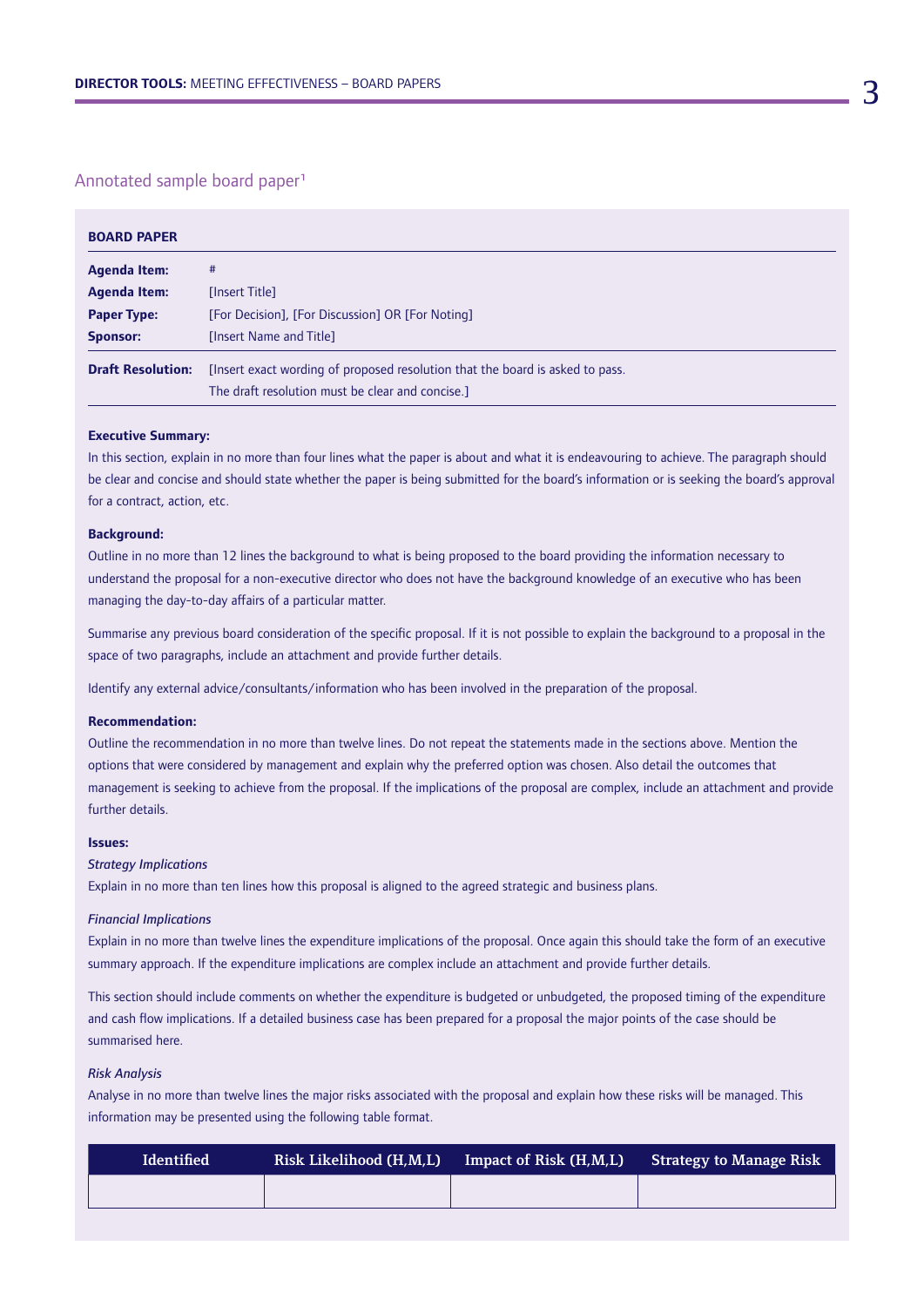# Annotated sample board paper1

| <b>BOARD PAPER</b>       |                                                                               |  |  |
|--------------------------|-------------------------------------------------------------------------------|--|--|
| <b>Agenda Item:</b>      | #                                                                             |  |  |
| <b>Agenda Item:</b>      | [Insert Title]                                                                |  |  |
| <b>Paper Type:</b>       | [For Decision], [For Discussion] OR [For Noting]                              |  |  |
| <b>Sponsor:</b>          | [Insert Name and Title]                                                       |  |  |
| <b>Draft Resolution:</b> | [Insert exact wording of proposed resolution that the board is asked to pass. |  |  |
|                          | The draft resolution must be clear and concise.]                              |  |  |

## **Executive Summary:**

In this section, explain in no more than four lines what the paper is about and what it is endeavouring to achieve. The paragraph should be clear and concise and should state whether the paper is being submitted for the board's information or is seeking the board's approval for a contract, action, etc.

#### **Background:**

Outline in no more than 12 lines the background to what is being proposed to the board providing the information necessary to understand the proposal for a non-executive director who does not have the background knowledge of an executive who has been managing the day-to-day affairs of a particular matter.

Summarise any previous board consideration of the specific proposal. If it is not possible to explain the background to a proposal in the space of two paragraphs, include an attachment and provide further details.

Identify any external advice/consultants/information who has been involved in the preparation of the proposal.

#### **Recommendation:**

Outline the recommendation in no more than twelve lines. Do not repeat the statements made in the sections above. Mention the options that were considered by management and explain why the preferred option was chosen. Also detail the outcomes that management is seeking to achieve from the proposal. If the implications of the proposal are complex, include an attachment and provide further details.

# **Issues:**

### *Strategy Implications*

Explain in no more than ten lines how this proposal is aligned to the agreed strategic and business plans.

#### *Financial Implications*

Explain in no more than twelve lines the expenditure implications of the proposal. Once again this should take the form of an executive summary approach. If the expenditure implications are complex include an attachment and provide further details.

This section should include comments on whether the expenditure is budgeted or unbudgeted, the proposed timing of the expenditure and cash flow implications. If a detailed business case has been prepared for a proposal the major points of the case should be summarised here.

#### *Risk Analysis*

Analyse in no more than twelve lines the major risks associated with the proposal and explain how these risks will be managed. This information may be presented using the following table format.

| <b>Identified</b> | Risk Likelihood (H,M,L) | Impact of Risk (H,M,L) | <b>Strategy to Manage Risk</b> |
|-------------------|-------------------------|------------------------|--------------------------------|
|                   |                         |                        |                                |
|                   |                         |                        |                                |